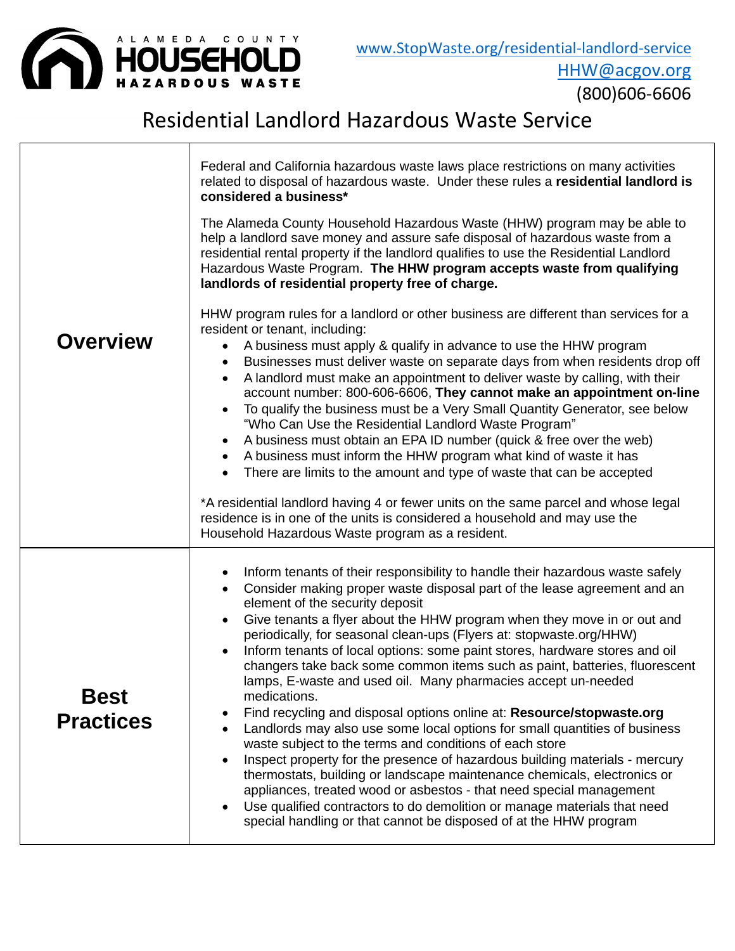

(800)606-6606

## Residential Landlord Hazardous Waste Service

|                                 | Federal and California hazardous waste laws place restrictions on many activities<br>related to disposal of hazardous waste. Under these rules a residential landlord is<br>considered a business*<br>The Alameda County Household Hazardous Waste (HHW) program may be able to<br>help a landlord save money and assure safe disposal of hazardous waste from a<br>residential rental property if the landlord qualifies to use the Residential Landlord<br>Hazardous Waste Program. The HHW program accepts waste from qualifying<br>landlords of residential property free of charge.                                                                                                                                                                                                                                                                                                                                                                                                                                                                                                                                                                                                                                         |
|---------------------------------|----------------------------------------------------------------------------------------------------------------------------------------------------------------------------------------------------------------------------------------------------------------------------------------------------------------------------------------------------------------------------------------------------------------------------------------------------------------------------------------------------------------------------------------------------------------------------------------------------------------------------------------------------------------------------------------------------------------------------------------------------------------------------------------------------------------------------------------------------------------------------------------------------------------------------------------------------------------------------------------------------------------------------------------------------------------------------------------------------------------------------------------------------------------------------------------------------------------------------------|
| <b>Overview</b>                 | HHW program rules for a landlord or other business are different than services for a<br>resident or tenant, including:<br>A business must apply & qualify in advance to use the HHW program<br>$\bullet$<br>Businesses must deliver waste on separate days from when residents drop off<br>A landlord must make an appointment to deliver waste by calling, with their<br>$\bullet$<br>account number: 800-606-6606, They cannot make an appointment on-line<br>To qualify the business must be a Very Small Quantity Generator, see below<br>"Who Can Use the Residential Landlord Waste Program"<br>A business must obtain an EPA ID number (quick & free over the web)<br>A business must inform the HHW program what kind of waste it has<br>There are limits to the amount and type of waste that can be accepted<br>*A residential landlord having 4 or fewer units on the same parcel and whose legal<br>residence is in one of the units is considered a household and may use the<br>Household Hazardous Waste program as a resident.                                                                                                                                                                                   |
| <b>Best</b><br><b>Practices</b> | Inform tenants of their responsibility to handle their hazardous waste safely<br>$\bullet$<br>Consider making proper waste disposal part of the lease agreement and an<br>$\bullet$<br>element of the security deposit<br>Give tenants a flyer about the HHW program when they move in or out and<br>periodically, for seasonal clean-ups (Flyers at: stopwaste.org/HHW)<br>Inform tenants of local options: some paint stores, hardware stores and oil<br>changers take back some common items such as paint, batteries, fluorescent<br>lamps, E-waste and used oil. Many pharmacies accept un-needed<br>medications.<br>Find recycling and disposal options online at: Resource/stopwaste.org<br>Landlords may also use some local options for small quantities of business<br>waste subject to the terms and conditions of each store<br>Inspect property for the presence of hazardous building materials - mercury<br>thermostats, building or landscape maintenance chemicals, electronics or<br>appliances, treated wood or asbestos - that need special management<br>Use qualified contractors to do demolition or manage materials that need<br>٠<br>special handling or that cannot be disposed of at the HHW program |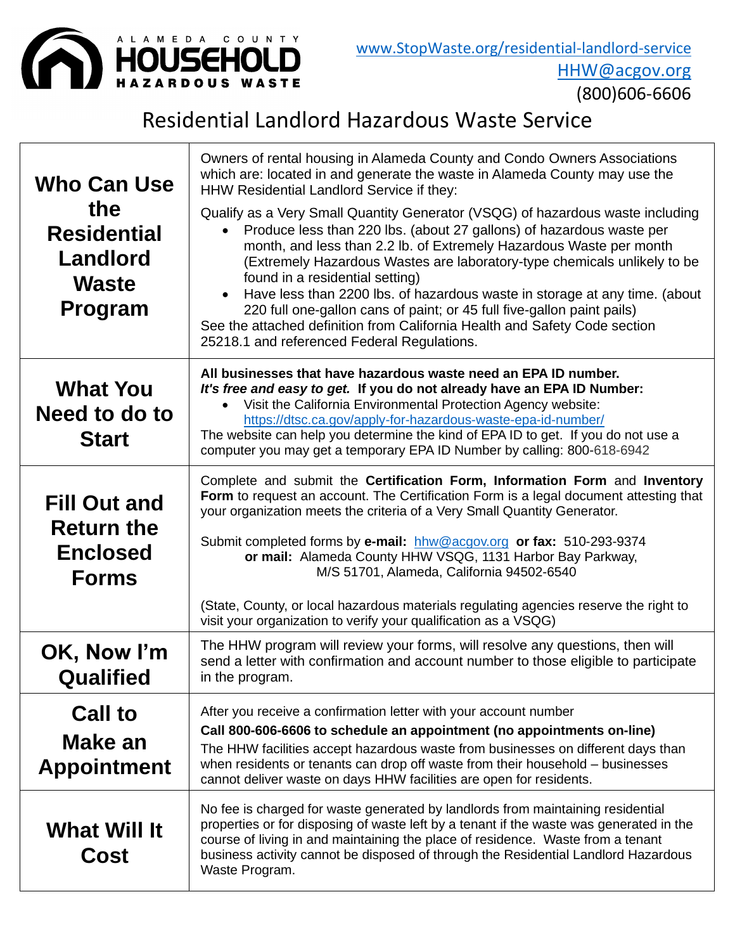

(800)606-6606

## Residential Landlord Hazardous Waste Service

| <b>Who Can Use</b>                                                             | Owners of rental housing in Alameda County and Condo Owners Associations<br>which are: located in and generate the waste in Alameda County may use the<br>HHW Residential Landlord Service if they:                                                                                                                                                                                                                                                                                                                                                                                                                               |  |  |
|--------------------------------------------------------------------------------|-----------------------------------------------------------------------------------------------------------------------------------------------------------------------------------------------------------------------------------------------------------------------------------------------------------------------------------------------------------------------------------------------------------------------------------------------------------------------------------------------------------------------------------------------------------------------------------------------------------------------------------|--|--|
| the<br><b>Residential</b><br><b>Landlord</b><br><b>Waste</b><br><b>Program</b> | Qualify as a Very Small Quantity Generator (VSQG) of hazardous waste including<br>Produce less than 220 lbs. (about 27 gallons) of hazardous waste per<br>month, and less than 2.2 lb. of Extremely Hazardous Waste per month<br>(Extremely Hazardous Wastes are laboratory-type chemicals unlikely to be<br>found in a residential setting)<br>Have less than 2200 lbs. of hazardous waste in storage at any time. (about<br>220 full one-gallon cans of paint; or 45 full five-gallon paint pails)<br>See the attached definition from California Health and Safety Code section<br>25218.1 and referenced Federal Regulations. |  |  |
| <b>What You</b><br>Need to do to<br><b>Start</b>                               | All businesses that have hazardous waste need an EPA ID number.<br>It's free and easy to get. If you do not already have an EPA ID Number:<br>Visit the California Environmental Protection Agency website:<br>https://dtsc.ca.gov/apply-for-hazardous-waste-epa-id-number/<br>The website can help you determine the kind of EPA ID to get. If you do not use a<br>computer you may get a temporary EPA ID Number by calling: 800-618-6942                                                                                                                                                                                       |  |  |
| <b>Fill Out and</b><br><b>Return the</b><br><b>Enclosed</b><br><b>Forms</b>    | Complete and submit the Certification Form, Information Form and Inventory<br>Form to request an account. The Certification Form is a legal document attesting that<br>your organization meets the criteria of a Very Small Quantity Generator.<br>Submit completed forms by e-mail: hhw@acgov.org or fax: 510-293-9374<br>or mail: Alameda County HHW VSQG, 1131 Harbor Bay Parkway,<br>M/S 51701, Alameda, California 94502-6540                                                                                                                                                                                                |  |  |
|                                                                                | (State, County, or local hazardous materials regulating agencies reserve the right to<br>visit your organization to verify your qualification as a VSQG)                                                                                                                                                                                                                                                                                                                                                                                                                                                                          |  |  |
| OK, Now I'm<br><b>Qualified</b>                                                | The HHW program will review your forms, will resolve any questions, then will<br>send a letter with confirmation and account number to those eligible to participate<br>in the program.                                                                                                                                                                                                                                                                                                                                                                                                                                           |  |  |
| <b>Call to</b><br>Make an<br><b>Appointment</b>                                | After you receive a confirmation letter with your account number<br>Call 800-606-6606 to schedule an appointment (no appointments on-line)<br>The HHW facilities accept hazardous waste from businesses on different days than<br>when residents or tenants can drop off waste from their household – businesses<br>cannot deliver waste on days HHW facilities are open for residents.                                                                                                                                                                                                                                           |  |  |
| <b>What Will It</b><br>Cost                                                    | No fee is charged for waste generated by landlords from maintaining residential<br>properties or for disposing of waste left by a tenant if the waste was generated in the<br>course of living in and maintaining the place of residence. Waste from a tenant<br>business activity cannot be disposed of through the Residential Landlord Hazardous<br>Waste Program.                                                                                                                                                                                                                                                             |  |  |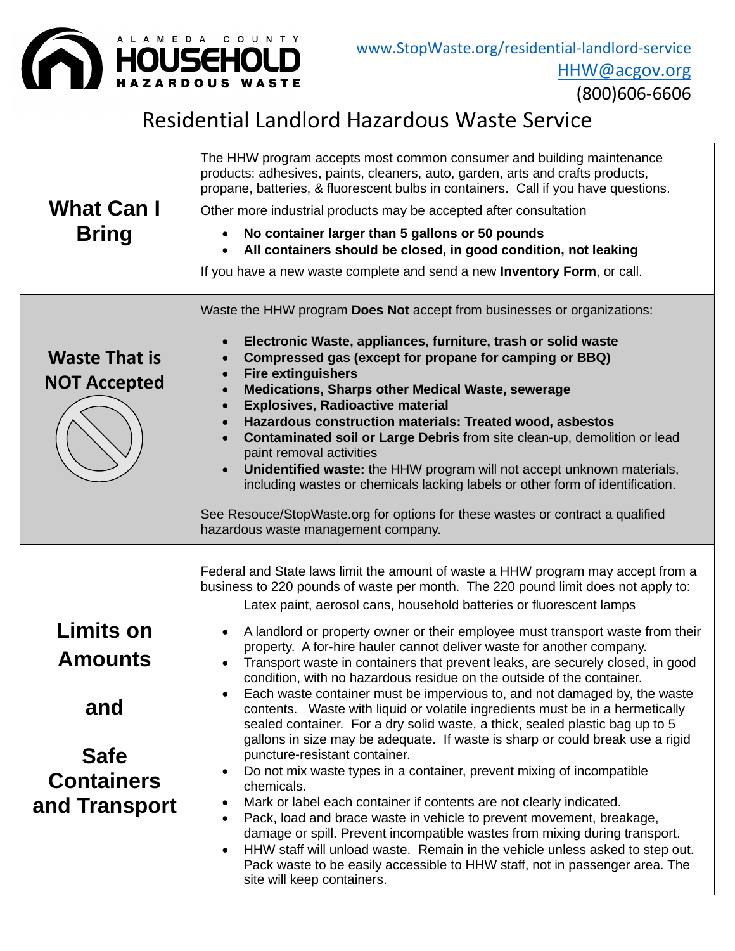

(800)606-6606

## Residential Landlord Hazardous Waste Service

| <b>What Can I</b><br><b>Bring</b>                                                       | The HHW program accepts most common consumer and building maintenance<br>products: adhesives, paints, cleaners, auto, garden, arts and crafts products,<br>propane, batteries, & fluorescent bulbs in containers. Call if you have questions.<br>Other more industrial products may be accepted after consultation<br>No container larger than 5 gallons or 50 pounds<br>All containers should be closed, in good condition, not leaking<br>$\bullet$<br>If you have a new waste complete and send a new Inventory Form, or call.                                                                                                                                                                                                                                                                                                                                                                                                                                                                                                                                                                                                                                                                                                                                                                                                                                                                                                                   |  |  |  |
|-----------------------------------------------------------------------------------------|-----------------------------------------------------------------------------------------------------------------------------------------------------------------------------------------------------------------------------------------------------------------------------------------------------------------------------------------------------------------------------------------------------------------------------------------------------------------------------------------------------------------------------------------------------------------------------------------------------------------------------------------------------------------------------------------------------------------------------------------------------------------------------------------------------------------------------------------------------------------------------------------------------------------------------------------------------------------------------------------------------------------------------------------------------------------------------------------------------------------------------------------------------------------------------------------------------------------------------------------------------------------------------------------------------------------------------------------------------------------------------------------------------------------------------------------------------|--|--|--|
| <b>Waste That is</b><br><b>NOT Accepted</b>                                             | Waste the HHW program Does Not accept from businesses or organizations:<br>Electronic Waste, appliances, furniture, trash or solid waste<br>Compressed gas (except for propane for camping or BBQ)<br><b>Fire extinguishers</b><br><b>Medications, Sharps other Medical Waste, sewerage</b><br><b>Explosives, Radioactive material</b><br>$\bullet$<br>Hazardous construction materials: Treated wood, asbestos<br>$\bullet$<br>Contaminated soil or Large Debris from site clean-up, demolition or lead<br>paint removal activities<br>Unidentified waste: the HHW program will not accept unknown materials,<br>including wastes or chemicals lacking labels or other form of identification.<br>See Resouce/StopWaste.org for options for these wastes or contract a qualified<br>hazardous waste management company.                                                                                                                                                                                                                                                                                                                                                                                                                                                                                                                                                                                                                            |  |  |  |
| Limits on<br><b>Amounts</b><br>and<br><b>Safe</b><br><b>Containers</b><br>and Transport | Federal and State laws limit the amount of waste a HHW program may accept from a<br>business to 220 pounds of waste per month. The 220 pound limit does not apply to:<br>Latex paint, aerosol cans, household batteries or fluorescent lamps<br>A landlord or property owner or their employee must transport waste from their<br>property. A for-hire hauler cannot deliver waste for another company.<br>Transport waste in containers that prevent leaks, are securely closed, in good<br>condition, with no hazardous residue on the outside of the container.<br>Each waste container must be impervious to, and not damaged by, the waste<br>contents. Waste with liquid or volatile ingredients must be in a hermetically<br>sealed container. For a dry solid waste, a thick, sealed plastic bag up to 5<br>gallons in size may be adequate. If waste is sharp or could break use a rigid<br>puncture-resistant container.<br>Do not mix waste types in a container, prevent mixing of incompatible<br>chemicals.<br>Mark or label each container if contents are not clearly indicated.<br>Pack, load and brace waste in vehicle to prevent movement, breakage,<br>damage or spill. Prevent incompatible wastes from mixing during transport.<br>HHW staff will unload waste. Remain in the vehicle unless asked to step out.<br>Pack waste to be easily accessible to HHW staff, not in passenger area. The<br>site will keep containers. |  |  |  |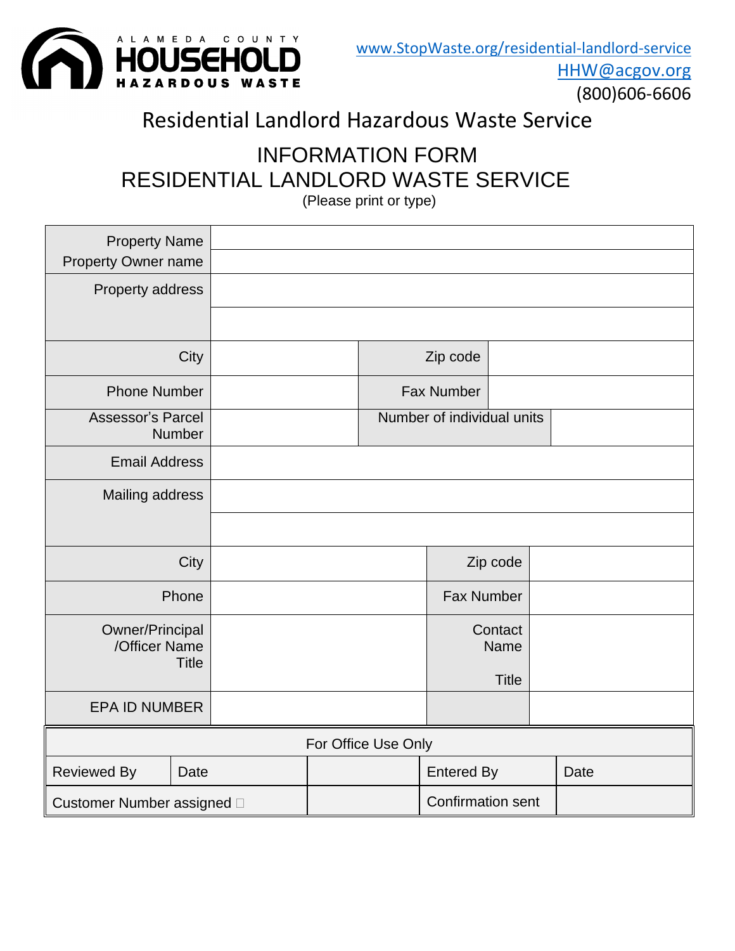

(800)606-6606

# Residential Landlord Hazardous Waste Service

# INFORMATION FORM RESIDENTIAL LANDLORD WASTE SERVICE

(Please print or type)

| <b>Property Name</b><br>Property Owner name |               |  |                            |                          |                   |                 |  |      |
|---------------------------------------------|---------------|--|----------------------------|--------------------------|-------------------|-----------------|--|------|
| Property address                            |               |  |                            |                          |                   |                 |  |      |
|                                             |               |  |                            |                          |                   |                 |  |      |
|                                             | City          |  |                            |                          | Zip code          |                 |  |      |
| <b>Phone Number</b>                         |               |  |                            |                          | <b>Fax Number</b> |                 |  |      |
| <b>Assessor's Parcel</b>                    | <b>Number</b> |  | Number of individual units |                          |                   |                 |  |      |
| <b>Email Address</b>                        |               |  |                            |                          |                   |                 |  |      |
| Mailing address                             |               |  |                            |                          |                   |                 |  |      |
|                                             |               |  |                            |                          |                   |                 |  |      |
|                                             | City          |  |                            |                          |                   | Zip code        |  |      |
|                                             | Phone         |  |                            | <b>Fax Number</b>        |                   |                 |  |      |
| Owner/Principal<br>/Officer Name            |               |  |                            |                          |                   | Contact<br>Name |  |      |
|                                             | <b>Title</b>  |  |                            |                          |                   |                 |  |      |
|                                             |               |  |                            |                          |                   | <b>Title</b>    |  |      |
| <b>EPA ID NUMBER</b>                        |               |  |                            |                          |                   |                 |  |      |
| For Office Use Only                         |               |  |                            |                          |                   |                 |  |      |
| <b>Reviewed By</b>                          | Date          |  |                            |                          | <b>Entered By</b> |                 |  | Date |
| Customer Number assigned D                  |               |  |                            | <b>Confirmation sent</b> |                   |                 |  |      |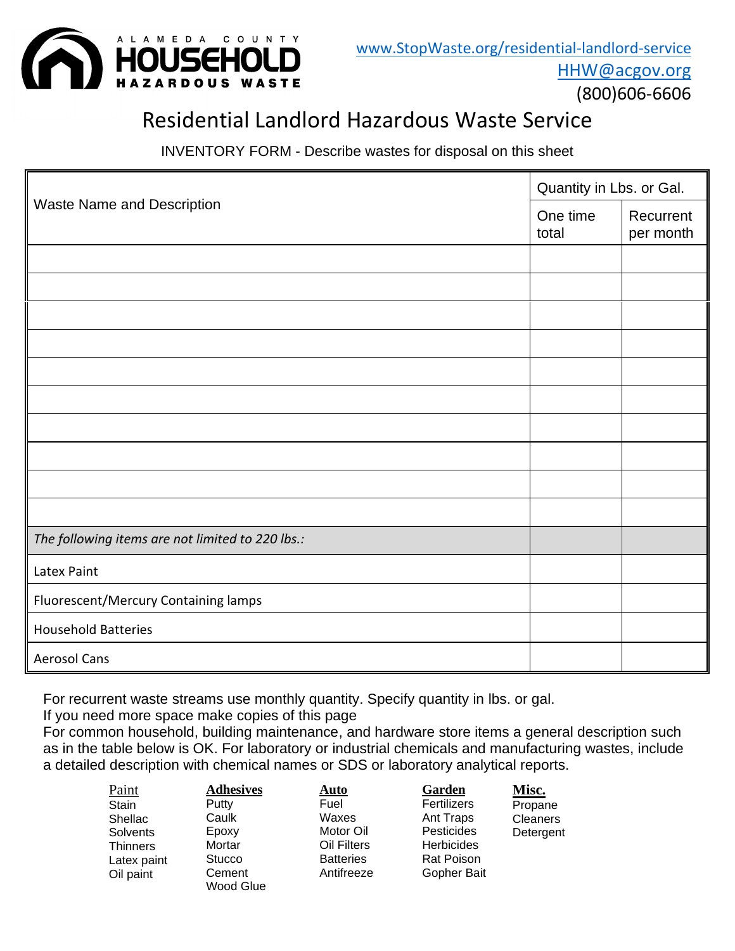

(800)606-6606

### Residential Landlord Hazardous Waste Service

INVENTORY FORM - Describe wastes for disposal on this sheet

|                                                  |                   | Quantity in Lbs. or Gal. |  |  |  |
|--------------------------------------------------|-------------------|--------------------------|--|--|--|
| <b>Waste Name and Description</b>                | One time<br>total | Recurrent<br>per month   |  |  |  |
|                                                  |                   |                          |  |  |  |
|                                                  |                   |                          |  |  |  |
|                                                  |                   |                          |  |  |  |
|                                                  |                   |                          |  |  |  |
|                                                  |                   |                          |  |  |  |
|                                                  |                   |                          |  |  |  |
|                                                  |                   |                          |  |  |  |
|                                                  |                   |                          |  |  |  |
|                                                  |                   |                          |  |  |  |
|                                                  |                   |                          |  |  |  |
| The following items are not limited to 220 lbs.: |                   |                          |  |  |  |
| Latex Paint                                      |                   |                          |  |  |  |
| Fluorescent/Mercury Containing lamps             |                   |                          |  |  |  |
| <b>Household Batteries</b>                       |                   |                          |  |  |  |
| <b>Aerosol Cans</b>                              |                   |                          |  |  |  |

For recurrent waste streams use monthly quantity. Specify quantity in lbs. or gal.

If you need more space make copies of this page

For common household, building maintenance, and hardware store items a general description such as in the table below is OK. For laboratory or industrial chemicals and manufacturing wastes, include a detailed description with chemical names or SDS or laboratory analytical reports.

| Paint       |  |
|-------------|--|
| Stain       |  |
| Shellac     |  |
| Solvents    |  |
| Thinners    |  |
| Latex paint |  |
| Oil paint   |  |
|             |  |

#### **Adhesives** Putty **Caulk** Epoxy Mortar **Stucco** Cement Wood Glue

Fuel Waxes Motor Oil

Oil Filters **Batteries** Antifreeze

**Auto**

**Garden** Fertilizers Ant Traps **Pesticides Herbicides** Rat Poison Gopher Bait **Misc. Propane** Cleaners Detergent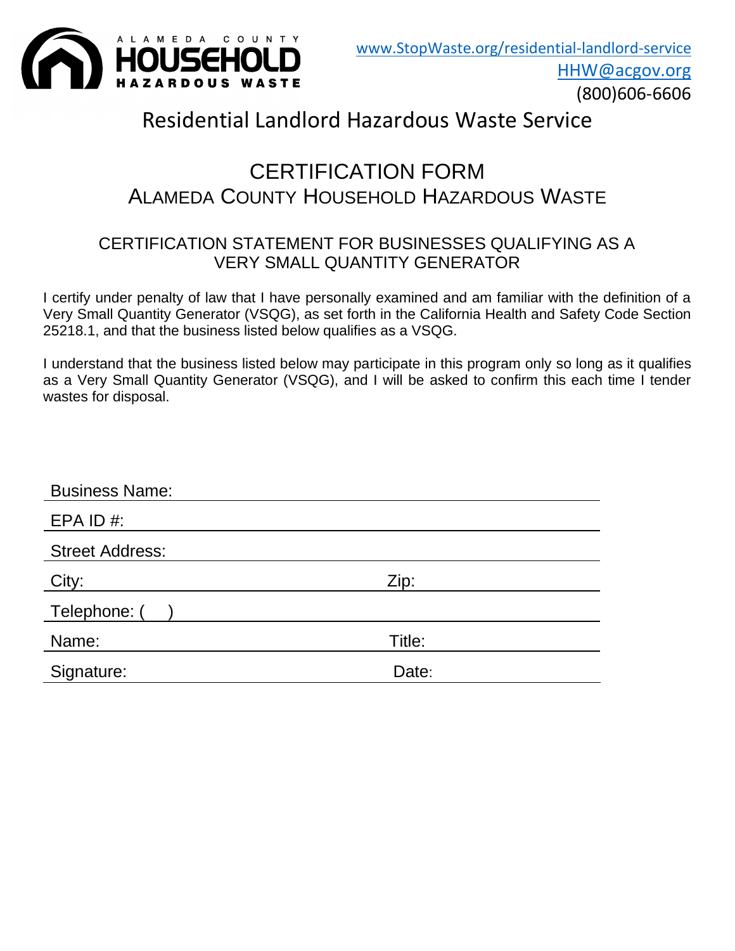

(800)606-6606

### Residential Landlord Hazardous Waste Service

### CERTIFICATION FORM ALAMEDA COUNTY HOUSEHOLD HAZARDOUS WASTE

#### CERTIFICATION STATEMENT FOR BUSINESSES QUALIFYING AS A VERY SMALL QUANTITY GENERATOR

I certify under penalty of law that I have personally examined and am familiar with the definition of a Very Small Quantity Generator (VSQG), as set forth in the California Health and Safety Code Section 25218.1, and that the business listed below qualifies as a VSQG.

I understand that the business listed below may participate in this program only so long as it qualifies as a Very Small Quantity Generator (VSQG), and I will be asked to confirm this each time I tender wastes for disposal.

| <b>Business Name:</b>  |        |
|------------------------|--------|
| EPA ID $#$ :           |        |
| <b>Street Address:</b> |        |
| City:                  | Zip:   |
| Telephone: (           |        |
| Name:                  | Title: |
| Signature:             | Date:  |